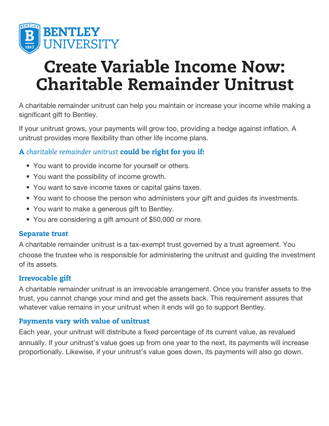

# Create Variable Income Now: Charitable Remainder Unitrust

A charitable remainder unitrust can help you maintain or increase your income while making a significant gift to Bentley.

If your unitrust grows, your payments will grow too, providing a hedge against inflation. A unitrust provides more flexibility than other life income plans.

# A *charitable remainder unitrust* could be right for you if:

- You want to provide income for yourself or others.
- You want the possibility of income growth.
- You want to save income taxes or capital gains taxes.
- You want to choose the person who administers your gift and guides its investments.
- You want to make a generous gift to Bentley.
- You are considering a gift amount of \$50,000 or more.

#### Separate trust

A charitable remainder unitrust is a tax-exempt trust governed by a trust agreement. You choose the trustee who is responsible for administering the unitrust and guiding the investment of its assets.

#### Irrevocable gift

A charitable remainder unitrust is an irrevocable arrangement. Once you transfer assets to the trust, you cannot change your mind and get the assets back. This requirement assures that whatever value remains in your unitrust when it ends will go to support Bentley.

#### Payments vary with value of unitrust

Each year, your unitrust will distribute a fixed percentage of its current value, as revalued annually. If your unitrust's value goes up from one year to the next, its payments will increase proportionally. Likewise, if your unitrust's value goes down, its payments will also go down.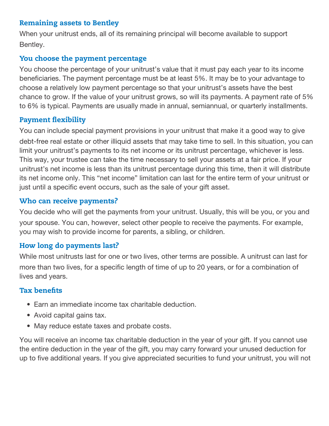#### Remaining assets to Bentley

When your unitrust ends, all of its remaining principal will become available to support Bentley.

# You choose the payment percentage

You choose the percentage of your unitrust's value that it must pay each year to its income beneficiaries. The payment percentage must be at least 5%. It may be to your advantage to choose a relatively low payment percentage so that your unitrust's assets have the best chance to grow. If the value of your unitrust grows, so will its payments. A payment rate of 5% to 6% is typical. Payments are usually made in annual, semiannual, or quarterly installments.

#### Payment flexibility

You can include special payment provisions in your unitrust that make it a good way to give debt-free real estate or other illiquid assets that may take time to sell. In this situation, you can limit your unitrust's payments to its net income or its unitrust percentage, whichever is less. This way, your trustee can take the time necessary to sell your assets at a fair price. If your unitrust's net income is less than its unitrust percentage during this time, then it will distribute its net income only. This "net income" limitation can last for the entire term of your unitrust or just until a specific event occurs, such as the sale of your gift asset.

#### Who can receive payments?

You decide who will get the payments from your unitrust. Usually, this will be you, or you and your spouse. You can, however, select other people to receive the payments. For example, you may wish to provide income for parents, a sibling, or children.

#### How long do payments last?

While most unitrusts last for one or two lives, other terms are possible. A unitrust can last for more than two lives, for a specific length of time of up to 20 years, or for a combination of lives and years.

#### Tax benefits

- Earn an immediate income tax charitable deduction.
- Avoid capital gains tax.
- May reduce estate taxes and probate costs.

You will receive an income tax charitable deduction in the year of your gift. If you cannot use the entire deduction in the year of the gift, you may carry forward your unused deduction for up to five additional years. If you give appreciated securities to fund your unitrust, you will not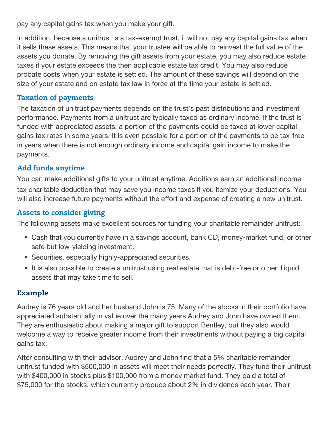pay any capital gains tax when you make your gift.

In addition, because a unitrust is a tax-exempt trust, it will not pay any capital gains tax when it sells these assets. This means that your trustee will be able to reinvest the full value of the assets you donate. By removing the gift assets from your estate, you may also reduce estate taxes if your estate exceeds the then applicable estate tax credit. You may also reduce probate costs when your estate is settled. The amount of these savings will depend on the size of your estate and on estate tax law in force at the time your estate is settled.

# Taxation of payments

The taxation of unitrust payments depends on the trust's past distributions and investment performance. Payments from a unitrust are typically taxed as ordinary income. If the trust is funded with appreciated assets, a portion of the payments could be taxed at lower capital gains tax rates in some years. It is even possible for a portion of the payments to be tax-free in years when there is not enough ordinary income and capital gain income to make the payments.

# Add funds anytime

You can make additional gifts to your unitrust anytime. Additions earn an additional income tax charitable deduction that may save you income taxes if you itemize your deductions. You will also increase future payments without the effort and expense of creating a new unitrust.

#### Assets to consider giving

The following assets make excellent sources for funding your charitable remainder unitrust:

- Cash that you currently have in a savings account, bank CD, money-market fund, or other safe but low-yielding investment.
- Securities, especially highly-appreciated securities.
- It is also possible to create a unitrust using real estate that is debt-free or other illiquid assets that may take time to sell.

# Example

Audrey is 76 years old and her husband John is 75. Many of the stocks in their portfolio have appreciated substantially in value over the many years Audrey and John have owned them. They are enthusiastic about making a major gift to support Bentley, but they also would welcome a way to receive greater income from their investments without paying a big capital gains tax.

After consulting with their advisor, Audrey and John find that a 5% charitable remainder unitrust funded with \$500,000 in assets will meet their needs perfectly. They fund their unitrust with \$400,000 in stocks plus \$100,000 from a money market fund. They paid a total of \$75,000 for the stocks, which currently produce about 2% in dividends each year. Their